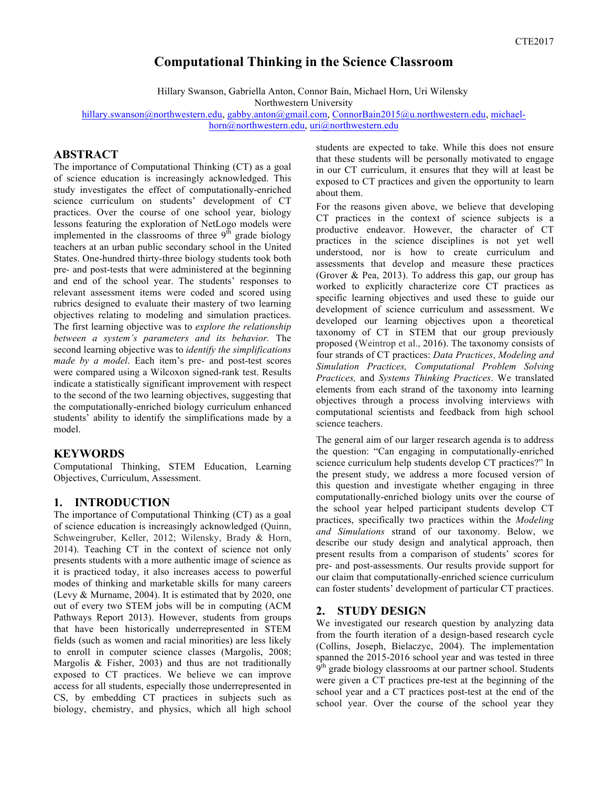# **Computational Thinking in the Science Classroom**

Hillary Swanson, Gabriella Anton, Connor Bain, Michael Horn, Uri Wilensky

Northwestern University

hillary.swanson@northwestern.edu, gabby.anton@gmail.com, ConnorBain2015@u.northwestern.edu, michaelhorn@northwestern.edu, uri@northwestern.edu

## **ABSTRACT**

The importance of Computational Thinking (CT) as a goal of science education is increasingly acknowledged. This study investigates the effect of computationally-enriched science curriculum on students' development of CT practices. Over the course of one school year, biology lessons featuring the exploration of NetLogo models were implemented in the classrooms of three  $9<sup>th</sup>$  grade biology teachers at an urban public secondary school in the United States. One-hundred thirty-three biology students took both pre- and post-tests that were administered at the beginning and end of the school year. The students' responses to relevant assessment items were coded and scored using rubrics designed to evaluate their mastery of two learning objectives relating to modeling and simulation practices. The first learning objective was to *explore the relationship between a system's parameters and its behavior.* The second learning objective was to *identify the simplifications made by a model*. Each item's pre- and post-test scores were compared using a Wilcoxon signed-rank test. Results indicate a statistically significant improvement with respect to the second of the two learning objectives, suggesting that the computationally-enriched biology curriculum enhanced students' ability to identify the simplifications made by a model.

### **KEYWORDS**

Computational Thinking, STEM Education, Learning Objectives, Curriculum, Assessment.

### **1. INTRODUCTION**

The importance of Computational Thinking (CT) as a goal of science education is increasingly acknowledged (Quinn, Schweingruber, Keller, 2012; Wilensky, Brady & Horn, 2014). Teaching CT in the context of science not only presents students with a more authentic image of science as it is practiced today, it also increases access to powerful modes of thinking and marketable skills for many careers (Levy & Murname, 2004). It is estimated that by 2020, one out of every two STEM jobs will be in computing (ACM Pathways Report 2013). However, students from groups that have been historically underrepresented in STEM fields (such as women and racial minorities) are less likely to enroll in computer science classes (Margolis, 2008; Margolis & Fisher, 2003) and thus are not traditionally exposed to CT practices. We believe we can improve access for all students, especially those underrepresented in CS, by embedding CT practices in subjects such as biology, chemistry, and physics, which all high school students are expected to take. While this does not ensure that these students will be personally motivated to engage in our CT curriculum, it ensures that they will at least be exposed to CT practices and given the opportunity to learn about them.

For the reasons given above, we believe that developing CT practices in the context of science subjects is a productive endeavor. However, the character of CT practices in the science disciplines is not yet well understood, nor is how to create curriculum and assessments that develop and measure these practices (Grover & Pea, 2013). To address this gap, our group has worked to explicitly characterize core CT practices as specific learning objectives and used these to guide our development of science curriculum and assessment. We developed our learning objectives upon a theoretical taxonomy of CT in STEM that our group previously proposed (Weintrop et al., 2016). The taxonomy consists of four strands of CT practices: *Data Practices*, *Modeling and Simulation Practices, Computational Problem Solving Practices,* and *Systems Thinking Practices*. We translated elements from each strand of the taxonomy into learning objectives through a process involving interviews with computational scientists and feedback from high school science teachers.

The general aim of our larger research agenda is to address the question: "Can engaging in computationally-enriched science curriculum help students develop CT practices?" In the present study, we address a more focused version of this question and investigate whether engaging in three computationally-enriched biology units over the course of the school year helped participant students develop CT practices, specifically two practices within the *Modeling and Simulations* strand of our taxonomy. Below, we describe our study design and analytical approach, then present results from a comparison of students' scores for pre- and post-assessments. Our results provide support for our claim that computationally-enriched science curriculum can foster students' development of particular CT practices.

### **2. STUDY DESIGN**

We investigated our research question by analyzing data from the fourth iteration of a design-based research cycle (Collins, Joseph, Bielaczyc, 2004). The implementation spanned the 2015-2016 school year and was tested in three 9<sup>th</sup> grade biology classrooms at our partner school. Students were given a CT practices pre-test at the beginning of the school year and a CT practices post-test at the end of the school year. Over the course of the school year they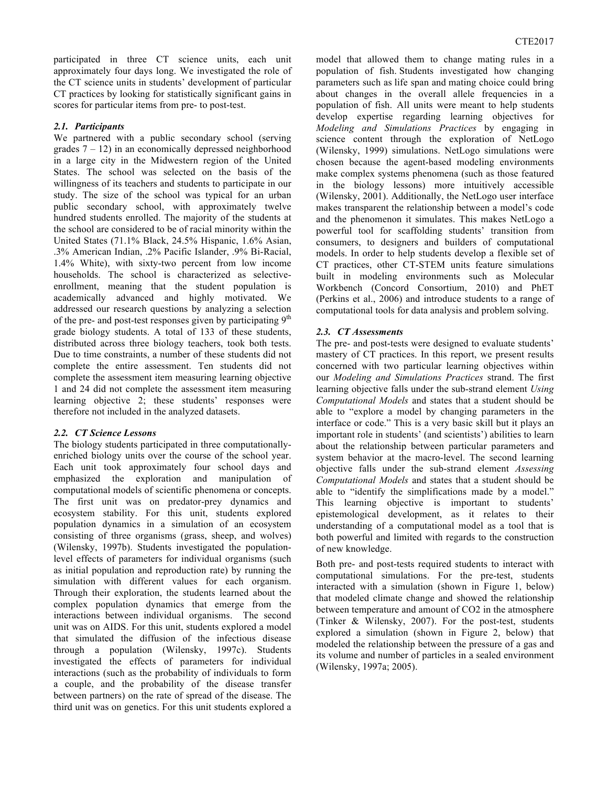participated in three CT science units, each unit approximately four days long. We investigated the role of the CT science units in students' development of particular CT practices by looking for statistically significant gains in scores for particular items from pre- to post-test.

#### *2.1. Participants*

We partnered with a public secondary school (serving grades  $7 - 12$ ) in an economically depressed neighborhood in a large city in the Midwestern region of the United States. The school was selected on the basis of the willingness of its teachers and students to participate in our study. The size of the school was typical for an urban public secondary school, with approximately twelve hundred students enrolled. The majority of the students at the school are considered to be of racial minority within the United States (71.1% Black, 24.5% Hispanic, 1.6% Asian, .3% American Indian, .2% Pacific Islander, .9% Bi-Racial, 1.4% White), with sixty-two percent from low income households. The school is characterized as selectiveenrollment, meaning that the student population is academically advanced and highly motivated. We addressed our research questions by analyzing a selection of the pre- and post-test responses given by participating 9<sup>th</sup> grade biology students. A total of 133 of these students, distributed across three biology teachers, took both tests. Due to time constraints, a number of these students did not complete the entire assessment. Ten students did not complete the assessment item measuring learning objective 1 and 24 did not complete the assessment item measuring learning objective 2; these students' responses were therefore not included in the analyzed datasets.

#### *2.2. CT Science Lessons*

The biology students participated in three computationallyenriched biology units over the course of the school year. Each unit took approximately four school days and emphasized the exploration and manipulation of computational models of scientific phenomena or concepts. The first unit was on predator-prey dynamics and ecosystem stability. For this unit, students explored population dynamics in a simulation of an ecosystem consisting of three organisms (grass, sheep, and wolves) (Wilensky, 1997b). Students investigated the populationlevel effects of parameters for individual organisms (such as initial population and reproduction rate) by running the simulation with different values for each organism. Through their exploration, the students learned about the complex population dynamics that emerge from the interactions between individual organisms. The second unit was on AIDS. For this unit, students explored a model that simulated the diffusion of the infectious disease through a population (Wilensky, 1997c). Students investigated the effects of parameters for individual interactions (such as the probability of individuals to form a couple, and the probability of the disease transfer between partners) on the rate of spread of the disease. The third unit was on genetics. For this unit students explored a

model that allowed them to change mating rules in a population of fish. Students investigated how changing parameters such as life span and mating choice could bring about changes in the overall allele frequencies in a population of fish. All units were meant to help students develop expertise regarding learning objectives for *Modeling and Simulations Practices* by engaging in science content through the exploration of NetLogo (Wilensky, 1999) simulations. NetLogo simulations were chosen because the agent-based modeling environments make complex systems phenomena (such as those featured in the biology lessons) more intuitively accessible (Wilensky, 2001). Additionally, the NetLogo user interface makes transparent the relationship between a model's code and the phenomenon it simulates. This makes NetLogo a powerful tool for scaffolding students' transition from consumers, to designers and builders of computational models. In order to help students develop a flexible set of CT practices, other CT-STEM units feature simulations built in modeling environments such as Molecular Workbench (Concord Consortium, 2010) and PhET (Perkins et al., 2006) and introduce students to a range of computational tools for data analysis and problem solving.

#### *2.3. CT Assessments*

The pre- and post-tests were designed to evaluate students' mastery of CT practices. In this report, we present results concerned with two particular learning objectives within our *Modeling and Simulations Practices* strand. The first learning objective falls under the sub-strand element *Using Computational Models* and states that a student should be able to "explore a model by changing parameters in the interface or code." This is a very basic skill but it plays an important role in students' (and scientists') abilities to learn about the relationship between particular parameters and system behavior at the macro-level. The second learning objective falls under the sub-strand element *Assessing Computational Models* and states that a student should be able to "identify the simplifications made by a model." This learning objective is important to students' epistemological development, as it relates to their understanding of a computational model as a tool that is both powerful and limited with regards to the construction of new knowledge.

Both pre- and post-tests required students to interact with computational simulations. For the pre-test, students interacted with a simulation (shown in Figure 1, below) that modeled climate change and showed the relationship between temperature and amount of CO2 in the atmosphere (Tinker & Wilensky, 2007). For the post-test, students explored a simulation (shown in Figure 2, below) that modeled the relationship between the pressure of a gas and its volume and number of particles in a sealed environment (Wilensky, 1997a; 2005).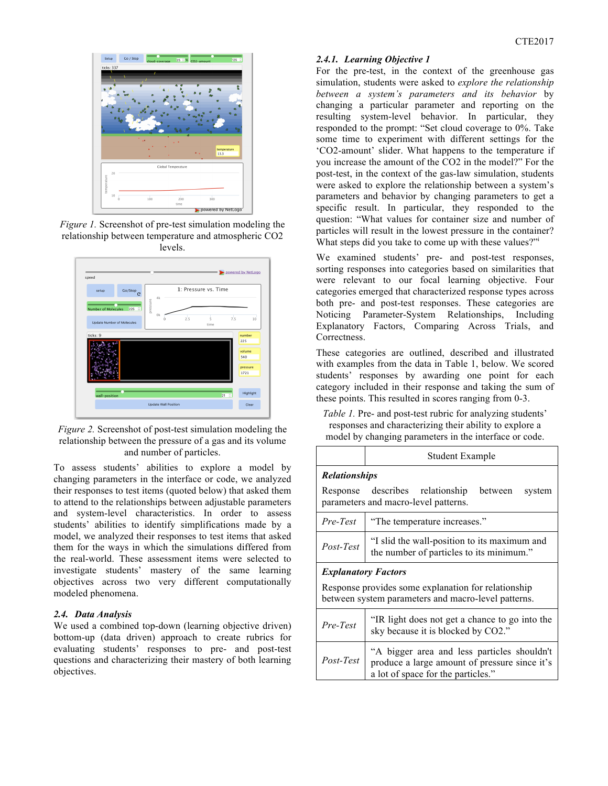

*Figure 1.* Screenshot of pre-test simulation modeling the relationship between temperature and atmospheric CO2 levels.



*Figure 2.* Screenshot of post-test simulation modeling the relationship between the pressure of a gas and its volume and number of particles.

To assess students' abilities to explore a model by changing parameters in the interface or code, we analyzed their responses to test items (quoted below) that asked them to attend to the relationships between adjustable parameters and system-level characteristics. In order to assess students' abilities to identify simplifications made by a model, we analyzed their responses to test items that asked them for the ways in which the simulations differed from the real-world. These assessment items were selected to investigate students' mastery of the same learning objectives across two very different computationally modeled phenomena.

#### *2.4. Data Analysis*

We used a combined top-down (learning objective driven) bottom-up (data driven) approach to create rubrics for evaluating students' responses to pre- and post-test questions and characterizing their mastery of both learning objectives.

#### *2.4.1. Learning Objective 1*

For the pre-test, in the context of the greenhouse gas simulation, students were asked to *explore the relationship between a system's parameters and its behavior* by changing a particular parameter and reporting on the resulting system-level behavior. In particular, they responded to the prompt: "Set cloud coverage to 0%. Take some time to experiment with different settings for the 'CO2-amount' slider. What happens to the temperature if you increase the amount of the CO2 in the model?" For the post-test, in the context of the gas-law simulation, students were asked to explore the relationship between a system's parameters and behavior by changing parameters to get a specific result. In particular, they responded to the question: "What values for container size and number of particles will result in the lowest pressure in the container? What steps did you take to come up with these values?"

We examined students' pre- and post-test responses, sorting responses into categories based on similarities that were relevant to our focal learning objective. Four categories emerged that characterized response types across both pre- and post-test responses. These categories are Noticing Parameter-System Relationships, Including Explanatory Factors, Comparing Across Trials, and Correctness.

These categories are outlined, described and illustrated with examples from the data in Table 1, below. We scored students' responses by awarding one point for each category included in their response and taking the sum of these points. This resulted in scores ranging from 0-3.

*Table 1.* Pre- and post-test rubric for analyzing students' responses and characterizing their ability to explore a model by changing parameters in the interface or code.

|                                                                                                            | Student Example                                                                                                                    |  |
|------------------------------------------------------------------------------------------------------------|------------------------------------------------------------------------------------------------------------------------------------|--|
| <b>Relationships</b>                                                                                       |                                                                                                                                    |  |
|                                                                                                            | Response describes relationship between<br>system<br>parameters and macro-level patterns.                                          |  |
| Pre-Test                                                                                                   | "The temperature increases."                                                                                                       |  |
| Post-Test                                                                                                  | "I slid the wall-position to its maximum and<br>the number of particles to its minimum."                                           |  |
| <b>Explanatory Factors</b>                                                                                 |                                                                                                                                    |  |
| Response provides some explanation for relationship<br>between system parameters and macro-level patterns. |                                                                                                                                    |  |
| Pre-Test                                                                                                   | "IR light does not get a chance to go into the<br>sky because it is blocked by CO2."                                               |  |
| Post-Test                                                                                                  | "A bigger area and less particles shouldn't<br>produce a large amount of pressure since it's<br>a lot of space for the particles." |  |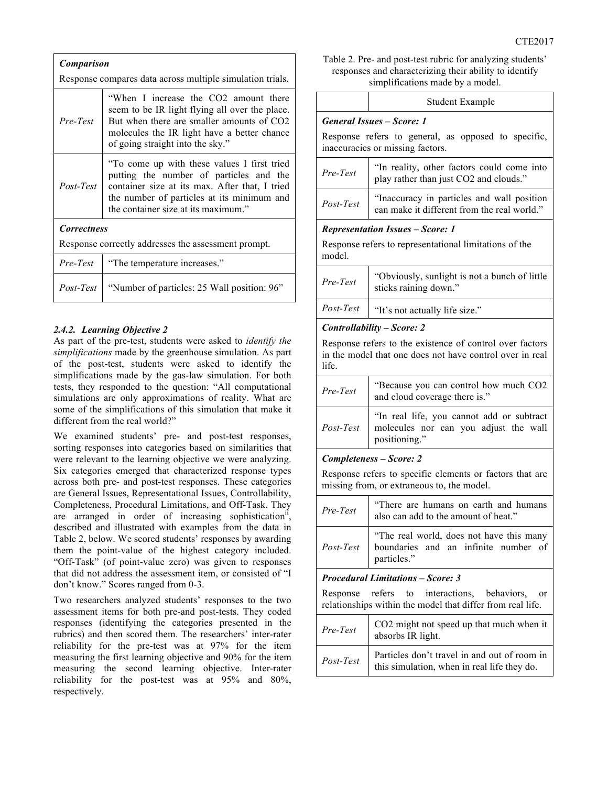| <b>Comparison</b>                                         |                                                                                                                                                                                                                               |  |
|-----------------------------------------------------------|-------------------------------------------------------------------------------------------------------------------------------------------------------------------------------------------------------------------------------|--|
| Response compares data across multiple simulation trials. |                                                                                                                                                                                                                               |  |
| Pre-Test                                                  | "When I increase the CO2 amount there<br>seem to be IR light flying all over the place.<br>But when there are smaller amounts of CO2<br>molecules the IR light have a better chance<br>of going straight into the sky."       |  |
| Post-Test                                                 | "To come up with these values I first tried<br>putting the number of particles and the<br>container size at its max. After that, I tried<br>the number of particles at its minimum and<br>the container size at its maximum." |  |
| <b>Correctness</b>                                        |                                                                                                                                                                                                                               |  |
| Response correctly addresses the assessment prompt.       |                                                                                                                                                                                                                               |  |
| Pre-Test                                                  | "The temperature increases."                                                                                                                                                                                                  |  |
| Post-Test                                                 | "Number of particles: 25 Wall position: 96"                                                                                                                                                                                   |  |

#### *2.4.2. Learning Objective 2*

As part of the pre-test, students were asked to *identify the simplifications* made by the greenhouse simulation. As part of the post-test, students were asked to identify the simplifications made by the gas-law simulation. For both tests, they responded to the question: "All computational simulations are only approximations of reality. What are some of the simplifications of this simulation that make it different from the real world?"

We examined students' pre- and post-test responses, sorting responses into categories based on similarities that were relevant to the learning objective we were analyzing. Six categories emerged that characterized response types across both pre- and post-test responses. These categories are General Issues, Representational Issues, Controllability, Completeness, Procedural Limitations, and Off-Task. They are arranged in order of increasing sophistication<sup>ii</sup>, described and illustrated with examples from the data in Table 2, below. We scored students' responses by awarding them the point-value of the highest category included. "Off-Task" (of point-value zero) was given to responses that did not address the assessment item, or consisted of "I don't know." Scores ranged from 0-3.

Two researchers analyzed students' responses to the two assessment items for both pre-and post-tests. They coded responses (identifying the categories presented in the rubrics) and then scored them. The researchers' inter-rater reliability for the pre-test was at 97% for the item measuring the first learning objective and 90% for the item measuring the second learning objective. Inter-rater reliability for the post-test was at 95% and 80%, respectively.

Table 2. Pre- and post-test rubric for analyzing students' responses and characterizing their ability to identify simplifications made by a model.

|                                                                                         | <b>Student Example</b>                                                                    |  |
|-----------------------------------------------------------------------------------------|-------------------------------------------------------------------------------------------|--|
| General Issues – Score: 1                                                               |                                                                                           |  |
| Response refers to general, as opposed to specific,<br>inaccuracies or missing factors. |                                                                                           |  |
| Pre-Test                                                                                | "In reality, other factors could come into<br>play rather than just CO2 and clouds."      |  |
| Post-Test                                                                               | "Inaccuracy in particles and wall position<br>can make it different from the real world." |  |
| <b>Representation Issues – Score: 1</b>                                                 |                                                                                           |  |
| Response refers to representational limitations of the<br>model.                        |                                                                                           |  |
| Pre-Test                                                                                | "Obviously, sunlight is not a bunch of little"<br>sticks raining down."                   |  |
| Post-Test                                                                               | "It's not actually life size."                                                            |  |
| Controllability Coores 2                                                                |                                                                                           |  |

#### *Controllability – Score: 2*

Response refers to the existence of control over factors in the model that one does not have control over in real life.

| Pre-Test    | "Because you can control how much CO2<br>and cloud coverage there is."                              |
|-------------|-----------------------------------------------------------------------------------------------------|
| $Post-Test$ | "In real life, you cannot add or subtract<br>molecules nor can you adjust the wall<br>positioning." |

#### *Completeness – Score: 2*

Response refers to specific elements or factors that are missing from, or extraneous to, the model.

| Pre-Test | "There are humans on earth and humans also can add to the amount of heat."                                |
|----------|-----------------------------------------------------------------------------------------------------------|
|          | "The real world, does not have this many<br>Post-Test boundaries and an infinite number of<br>particles." |

#### *Procedural Limitations – Score: 3*

Response refers to interactions, behaviors, or relationships within the model that differ from real life.

| Pre-Test  | CO2 might not speed up that much when it<br>absorbs IR light.                               |
|-----------|---------------------------------------------------------------------------------------------|
| Post-Test | Particles don't travel in and out of room in<br>this simulation, when in real life they do. |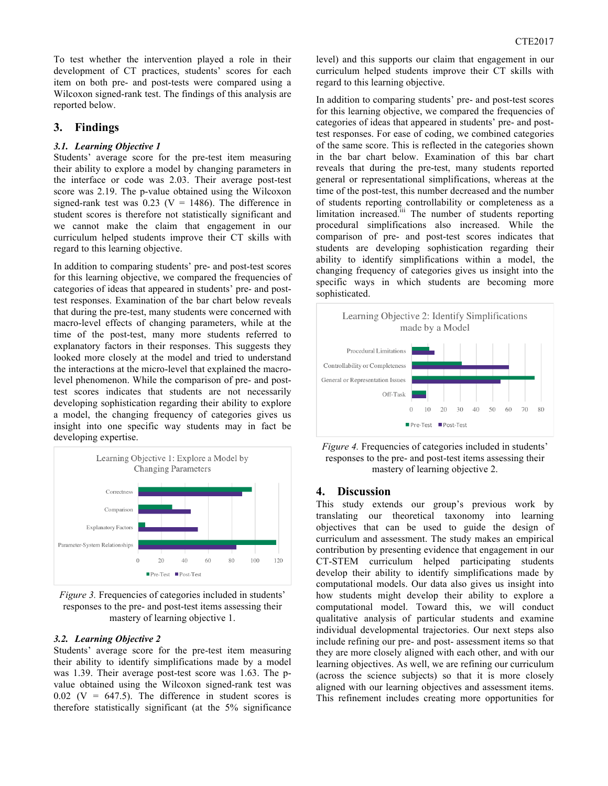To test whether the intervention played a role in their development of CT practices, students' scores for each item on both pre- and post-tests were compared using a Wilcoxon signed-rank test. The findings of this analysis are reported below.

### **3. Findings**

### *3.1. Learning Objective 1*

Students' average score for the pre-test item measuring their ability to explore a model by changing parameters in the interface or code was 2.03. Their average post-test score was 2.19. The p-value obtained using the Wilcoxon signed-rank test was  $0.23$  (V = 1486). The difference in student scores is therefore not statistically significant and we cannot make the claim that engagement in our curriculum helped students improve their CT skills with regard to this learning objective.

In addition to comparing students' pre- and post-test scores for this learning objective, we compared the frequencies of categories of ideas that appeared in students' pre- and posttest responses. Examination of the bar chart below reveals that during the pre-test, many students were concerned with macro-level effects of changing parameters, while at the time of the post-test, many more students referred to explanatory factors in their responses. This suggests they looked more closely at the model and tried to understand the interactions at the micro-level that explained the macrolevel phenomenon. While the comparison of pre- and posttest scores indicates that students are not necessarily developing sophistication regarding their ability to explore a model, the changing frequency of categories gives us insight into one specific way students may in fact be developing expertise.



*Figure 3.* Frequencies of categories included in students' responses to the pre- and post-test items assessing their mastery of learning objective 1.

#### *3.2. Learning Objective 2*

Students' average score for the pre-test item measuring their ability to identify simplifications made by a model was 1.39. Their average post-test score was 1.63. The pvalue obtained using the Wilcoxon signed-rank test was  $0.02$  (V = 647.5). The difference in student scores is therefore statistically significant (at the 5% significance

level) and this supports our claim that engagement in our curriculum helped students improve their CT skills with regard to this learning objective.

In addition to comparing students' pre- and post-test scores for this learning objective, we compared the frequencies of categories of ideas that appeared in students' pre- and posttest responses. For ease of coding, we combined categories of the same score. This is reflected in the categories shown in the bar chart below. Examination of this bar chart reveals that during the pre-test, many students reported general or representational simplifications, whereas at the time of the post-test, this number decreased and the number of students reporting controllability or completeness as a limitation increased.<sup>iii</sup> The number of students reporting procedural simplifications also increased. While the comparison of pre- and post-test scores indicates that students are developing sophistication regarding their ability to identify simplifications within a model, the changing frequency of categories gives us insight into the specific ways in which students are becoming more sophisticated.



*Figure 4.* Frequencies of categories included in students' responses to the pre- and post-test items assessing their mastery of learning objective 2.

### **4. Discussion**

This study extends our group's previous work by translating our theoretical taxonomy into learning objectives that can be used to guide the design of curriculum and assessment. The study makes an empirical contribution by presenting evidence that engagement in our CT-STEM curriculum helped participating students develop their ability to identify simplifications made by computational models. Our data also gives us insight into how students might develop their ability to explore a computational model. Toward this, we will conduct qualitative analysis of particular students and examine individual developmental trajectories. Our next steps also include refining our pre- and post- assessment items so that they are more closely aligned with each other, and with our learning objectives. As well, we are refining our curriculum (across the science subjects) so that it is more closely aligned with our learning objectives and assessment items. This refinement includes creating more opportunities for